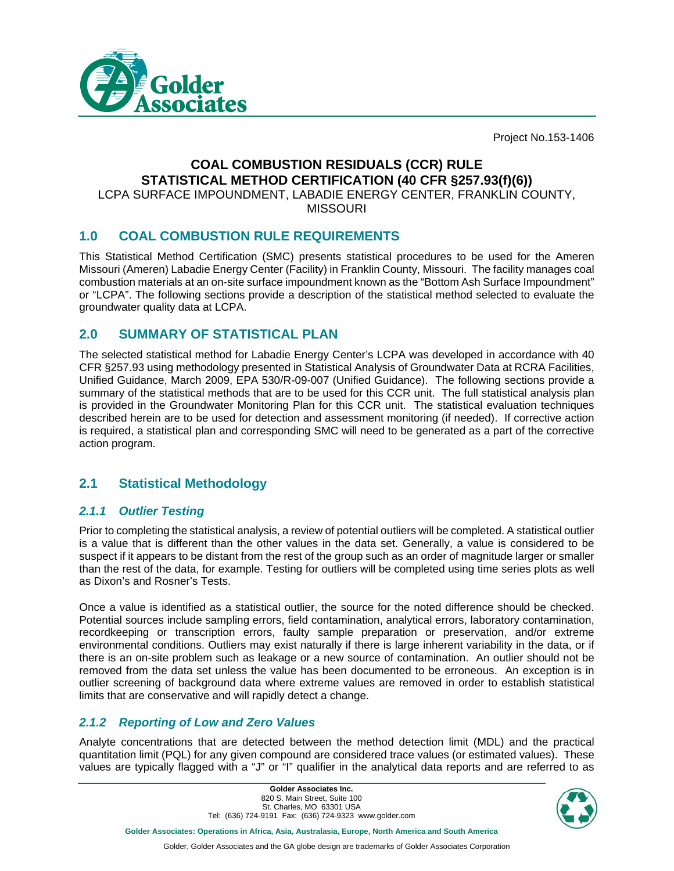

Project No.153-1406

# **COAL COMBUSTION RESIDUALS (CCR) RULE STATISTICAL METHOD CERTIFICATION (40 CFR §257.93(f)(6))**

LCPA SURFACE IMPOUNDMENT, LABADIE ENERGY CENTER, FRANKLIN COUNTY, **MISSOURI** 

## **1.0 COAL COMBUSTION RULE REQUIREMENTS**

This Statistical Method Certification (SMC) presents statistical procedures to be used for the Ameren Missouri (Ameren) Labadie Energy Center (Facility) in Franklin County, Missouri. The facility manages coal combustion materials at an on-site surface impoundment known as the "Bottom Ash Surface Impoundment" or "LCPA". The following sections provide a description of the statistical method selected to evaluate the groundwater quality data at LCPA.

## **2.0 SUMMARY OF STATISTICAL PLAN**

The selected statistical method for Labadie Energy Center's LCPA was developed in accordance with 40 CFR §257.93 using methodology presented in Statistical Analysis of Groundwater Data at RCRA Facilities, Unified Guidance, March 2009, EPA 530/R-09-007 (Unified Guidance). The following sections provide a summary of the statistical methods that are to be used for this CCR unit. The full statistical analysis plan is provided in the Groundwater Monitoring Plan for this CCR unit. The statistical evaluation techniques described herein are to be used for detection and assessment monitoring (if needed). If corrective action is required, a statistical plan and corresponding SMC will need to be generated as a part of the corrective action program.

## **2.1 Statistical Methodology**

### *2.1.1 Outlier Testing*

Prior to completing the statistical analysis, a review of potential outliers will be completed. A statistical outlier is a value that is different than the other values in the data set. Generally, a value is considered to be suspect if it appears to be distant from the rest of the group such as an order of magnitude larger or smaller than the rest of the data, for example. Testing for outliers will be completed using time series plots as well as Dixon's and Rosner's Tests.

Once a value is identified as a statistical outlier, the source for the noted difference should be checked. Potential sources include sampling errors, field contamination, analytical errors, laboratory contamination, recordkeeping or transcription errors, faulty sample preparation or preservation, and/or extreme environmental conditions. Outliers may exist naturally if there is large inherent variability in the data, or if there is an on-site problem such as leakage or a new source of contamination. An outlier should not be removed from the data set unless the value has been documented to be erroneous. An exception is in outlier screening of background data where extreme values are removed in order to establish statistical limits that are conservative and will rapidly detect a change.

### *2.1.2 Reporting of Low and Zero Values*

Analyte concentrations that are detected between the method detection limit (MDL) and the practical quantitation limit (PQL) for any given compound are considered trace values (or estimated values). These values are typically flagged with a "J" or "I" qualifier in the analytical data reports and are referred to as

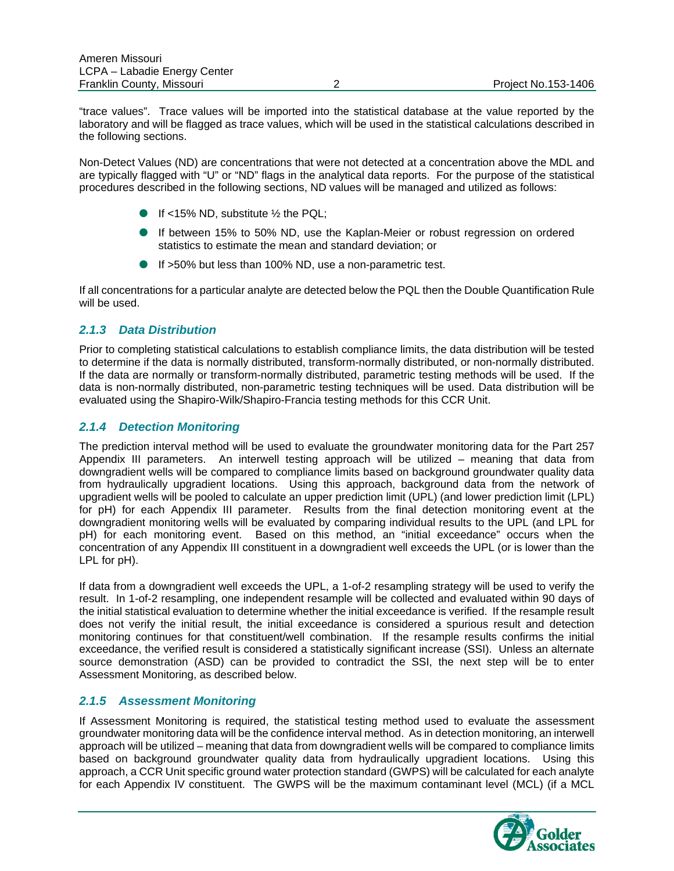"trace values". Trace values will be imported into the statistical database at the value reported by the laboratory and will be flagged as trace values, which will be used in the statistical calculations described in the following sections.

Non-Detect Values (ND) are concentrations that were not detected at a concentration above the MDL and are typically flagged with "U" or "ND" flags in the analytical data reports. For the purpose of the statistical procedures described in the following sections, ND values will be managed and utilized as follows:

- If <15% ND, substitute  $\frac{1}{2}$  the PQL;
- If between 15% to 50% ND, use the Kaplan-Meier or robust regression on ordered statistics to estimate the mean and standard deviation; or
- If >50% but less than 100% ND, use a non-parametric test.

If all concentrations for a particular analyte are detected below the PQL then the Double Quantification Rule will be used.

#### *2.1.3 Data Distribution*

Prior to completing statistical calculations to establish compliance limits, the data distribution will be tested to determine if the data is normally distributed, transform-normally distributed, or non-normally distributed. If the data are normally or transform-normally distributed, parametric testing methods will be used. If the data is non-normally distributed, non-parametric testing techniques will be used. Data distribution will be evaluated using the Shapiro-Wilk/Shapiro-Francia testing methods for this CCR Unit.

#### *2.1.4 Detection Monitoring*

The prediction interval method will be used to evaluate the groundwater monitoring data for the Part 257 Appendix III parameters. An interwell testing approach will be utilized – meaning that data from downgradient wells will be compared to compliance limits based on background groundwater quality data from hydraulically upgradient locations. Using this approach, background data from the network of upgradient wells will be pooled to calculate an upper prediction limit (UPL) (and lower prediction limit (LPL) for pH) for each Appendix III parameter. Results from the final detection monitoring event at the downgradient monitoring wells will be evaluated by comparing individual results to the UPL (and LPL for pH) for each monitoring event. Based on this method, an "initial exceedance" occurs when the concentration of any Appendix III constituent in a downgradient well exceeds the UPL (or is lower than the LPL for pH).

If data from a downgradient well exceeds the UPL, a 1-of-2 resampling strategy will be used to verify the result. In 1-of-2 resampling, one independent resample will be collected and evaluated within 90 days of the initial statistical evaluation to determine whether the initial exceedance is verified. If the resample result does not verify the initial result, the initial exceedance is considered a spurious result and detection monitoring continues for that constituent/well combination. If the resample results confirms the initial exceedance, the verified result is considered a statistically significant increase (SSI). Unless an alternate source demonstration (ASD) can be provided to contradict the SSI, the next step will be to enter Assessment Monitoring, as described below.

#### *2.1.5 Assessment Monitoring*

If Assessment Monitoring is required, the statistical testing method used to evaluate the assessment groundwater monitoring data will be the confidence interval method. As in detection monitoring, an interwell approach will be utilized – meaning that data from downgradient wells will be compared to compliance limits based on background groundwater quality data from hydraulically upgradient locations. Using this approach, a CCR Unit specific ground water protection standard (GWPS) will be calculated for each analyte for each Appendix IV constituent. The GWPS will be the maximum contaminant level (MCL) (if a MCL

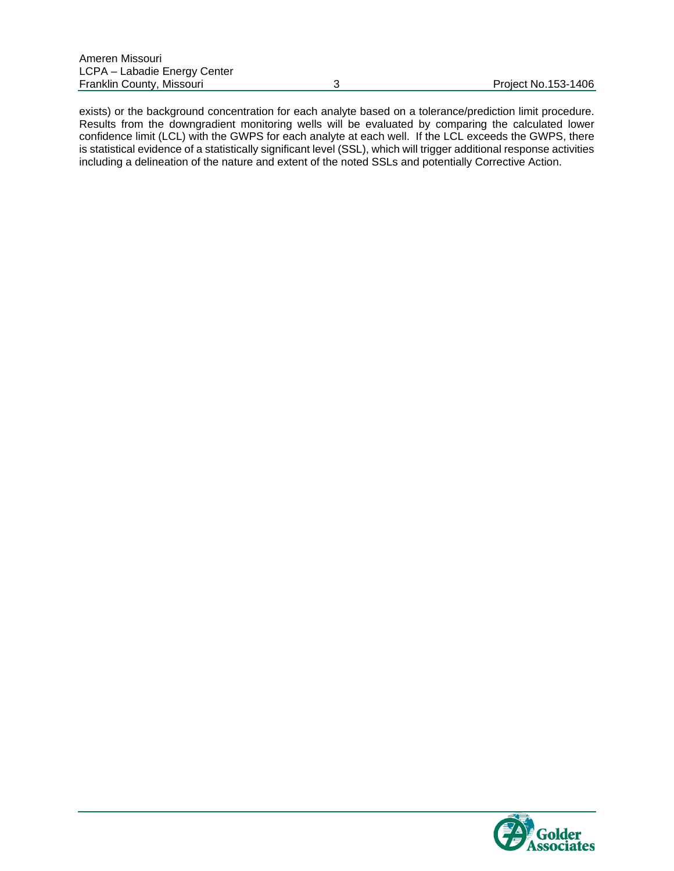exists) or the background concentration for each analyte based on a tolerance/prediction limit procedure. Results from the downgradient monitoring wells will be evaluated by comparing the calculated lower confidence limit (LCL) with the GWPS for each analyte at each well. If the LCL exceeds the GWPS, there is statistical evidence of a statistically significant level (SSL), which will trigger additional response activities including a delineation of the nature and extent of the noted SSLs and potentially Corrective Action.